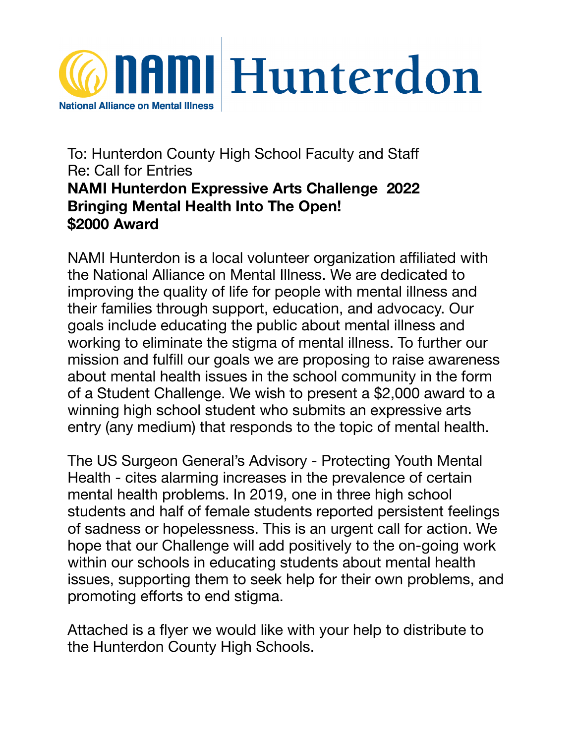

## To: Hunterdon County High School Faculty and Staff Re: Call for Entries **NAMI Hunterdon Expressive Arts Challenge 2022 Bringing Mental Health Into The Open! \$2000 Award**

NAMI Hunterdon is a local volunteer organization affiliated with the National Alliance on Mental Illness. We are dedicated to improving the quality of life for people with mental illness and their families through support, education, and advocacy. Our goals include educating the public about mental illness and working to eliminate the stigma of mental illness. To further our mission and fulfill our goals we are proposing to raise awareness about mental health issues in the school community in the form of a Student Challenge. We wish to present a \$2,000 award to a winning high school student who submits an expressive arts entry (any medium) that responds to the topic of mental health.

The US Surgeon General's Advisory - Protecting Youth Mental Health - cites alarming increases in the prevalence of certain mental health problems. In 2019, one in three high school students and half of female students reported persistent feelings of sadness or hopelessness. This is an urgent call for action. We hope that our Challenge will add positively to the on-going work within our schools in educating students about mental health issues, supporting them to seek help for their own problems, and promoting efforts to end stigma.

Attached is a flyer we would like with your help to distribute to the Hunterdon County High Schools.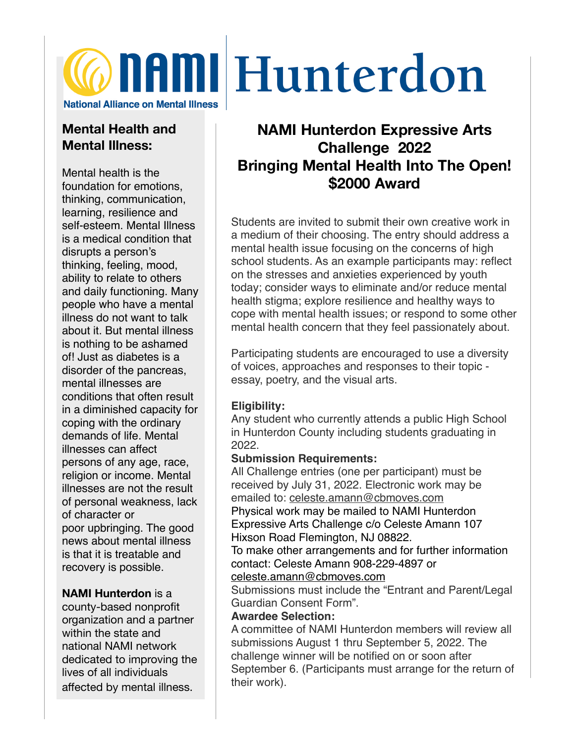# **Confirm Hunterdon National Alliance on Mental Illness**

## **Mental Health and Mental Illness:**

Mental health is the foundation for emotions, thinking, communication, learning, resilience and self-esteem. Mental Illness is a medical condition that disrupts a person's thinking, feeling, mood, ability to relate to others and daily functioning. Many people who have a mental illness do not want to talk about it. But mental illness is nothing to be ashamed of! Just as diabetes is a disorder of the pancreas, mental illnesses are conditions that often result in a diminished capacity for coping with the ordinary demands of life. Mental illnesses can affect persons of any age, race, religion or income. Mental illnesses are not the result of personal weakness, lack of character or poor upbringing. The good news about mental illness is that it is treatable and recovery is possible.

#### **NAMI Hunterdon** is a

county-based nonprofit organization and a partner within the state and national NAMI network dedicated to improving the lives of all individuals affected by mental illness.

# **NAMI Hunterdon Expressive Arts Challenge 2022 Bringing Mental Health Into The Open! \$2000 Award**

Students are invited to submit their own creative work in a medium of their choosing. The entry should address a mental health issue focusing on the concerns of high school students. As an example participants may: reflect on the stresses and anxieties experienced by youth today; consider ways to eliminate and/or reduce mental health stigma; explore resilience and healthy ways to cope with mental health issues; or respond to some other mental health concern that they feel passionately about.

Participating students are encouraged to use a diversity of voices, approaches and responses to their topic essay, poetry, and the visual arts.

#### **Eligibility:**

Any student who currently attends a public High School in Hunterdon County including students graduating in 2022.

#### **Submission Requirements:**

All Challenge entries (one per participant) must be received by July 31, 2022. Electronic work may be emailed to: [celeste.amann@cbmoves.com](mailto:celeste.amann@cbmoves.com) Physical work may be mailed to NAMI Hunterdon Expressive Arts Challenge c/o Celeste Amann 107 Hixson Road Flemington, NJ 08822.

To make other arrangements and for further information contact: Celeste Amann 908-229-4897 or [celeste.amann@cbmoves.com](mailto:celeste.amann@cbmoves.com)

Submissions must include the "Entrant and Parent/Legal Guardian Consent Form".

#### **Awardee Selection:**

A committee of NAMI Hunterdon members will review all submissions August 1 thru September 5, 2022. The challenge winner will be notified on or soon after September 6. (Participants must arrange for the return of their work).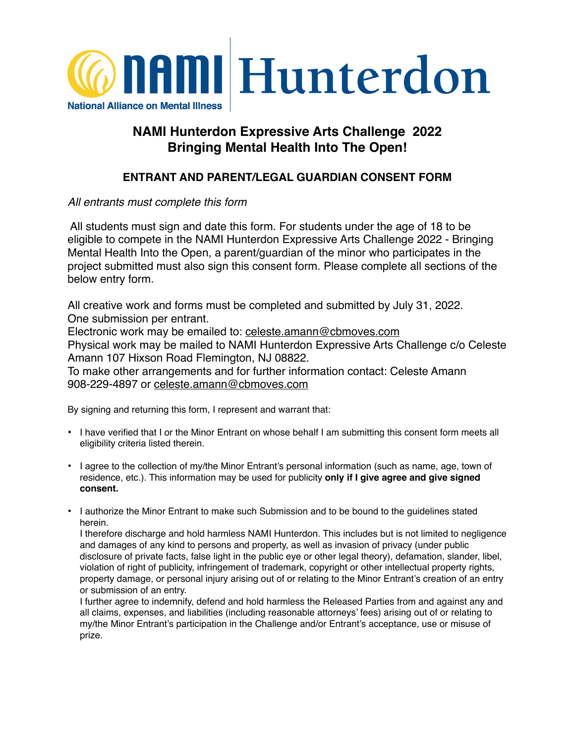

### **NAMI Hunterdon Expressive Arts Challenge 2022 Bringing Mental Health Into The Open!**

#### **ENTRANT AND PARENT/LEGAL GUARDIAN CONSENT FORM**

#### *All entrants must complete this form*

 All students must sign and date this form. For students under the age of 18 to be eligible to compete in the NAMI Hunterdon Expressive Arts Challenge 2022 - Bringing Mental Health Into the Open, a parent/guardian of the minor who participates in the project submitted must also sign this consent form. Please complete all sections of the below entry form.

All creative work and forms must be completed and submitted by July 31, 2022. One submission per entrant.

Electronic work may be emailed to: [celeste.amann@cbmoves.com](mailto:celeste.amann@cbmoves.com)

Physical work may be mailed to NAMI Hunterdon Expressive Arts Challenge c/o Celeste Amann 107 Hixson Road Flemington, NJ 08822.

To make other arrangements and for further information contact: Celeste Amann 908-229-4897 or [celeste.amann@cbmoves.com](mailto:celeste.amann@cbmoves.com)

By signing and returning this form, I represent and warrant that:

- I have verified that I or the Minor Entrant on whose behalf I am submitting this consent form meets all eligibility criteria listed therein.
- I agree to the collection of my/the Minor Entrant's personal information (such as name, age, town of residence, etc.). This information may be used for publicity **only if I give agree and give signed consent.**
- I authorize the Minor Entrant to make such Submission and to be bound to the guidelines stated herein.

I therefore discharge and hold harmless NAMI Hunterdon. This includes but is not limited to negligence and damages of any kind to persons and property, as well as invasion of privacy (under public disclosure of private facts, false light in the public eye or other legal theory), defamation, slander, libel, violation of right of publicity, infringement of trademark, copyright or other intellectual property rights, property damage, or personal injury arising out of or relating to the Minor Entrant's creation of an entry or submission of an entry.

I further agree to indemnify, defend and hold harmless the Released Parties from and against any and all claims, expenses, and liabilities (including reasonable attorneys' fees) arising out of or relating to my/the Minor Entrant's participation in the Challenge and/or Entrant's acceptance, use or misuse of prize.